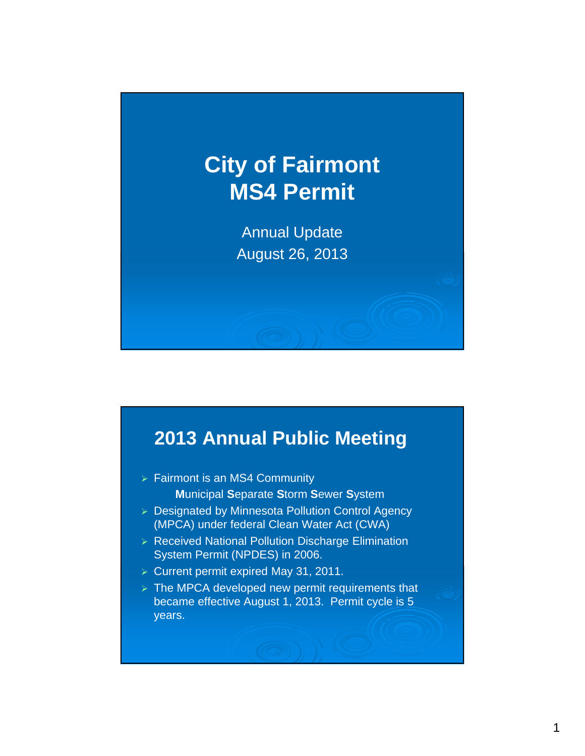# **City of Fairmont MS4 Permit**

Annual Update August 26, 2013

## **2013 Annual Public Meeting**

- $\triangleright$  Fairmont is an MS4 Community **M**unicipal **S**eparate **S**torm **S**ewer **S**ystem
- > Designated by Minnesota Pollution Control Agency (MPCA) under federal Clean Water Act (CWA)
- Received National Pollution Discharge Elimination System Permit (NPDES) in 2006.
- $\triangleright$  Current permit expired May 31, 2011.
- $\triangleright$  The MPCA developed new permit requirements that became effective August 1, 2013. Permit cycle is 5 years.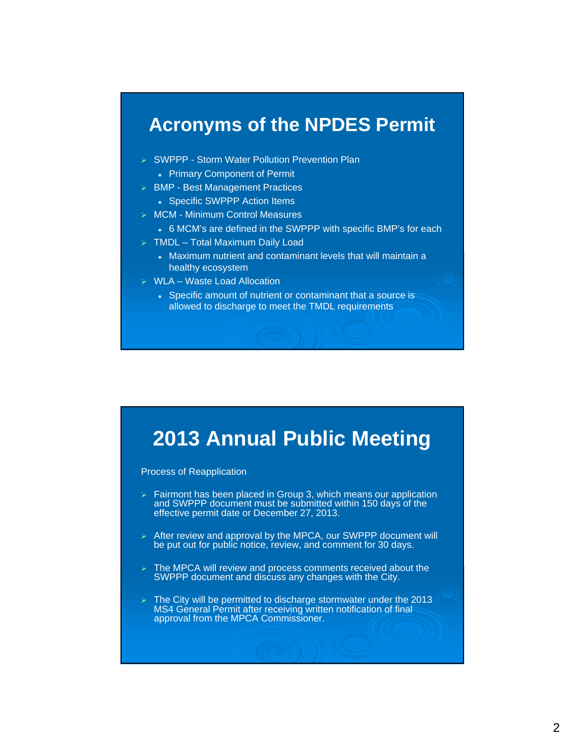#### **Acronyms of the NPDES Permit**

- SWPPP Storm Water Pollution Prevention Plan Primary Component of Permit
- > BMP Best Management Practices
	- Specific SWPPP Action Items
- MCM Minimum Control Measures
	- 6 MCM's are defined in the SWPPP with specific BMP's for each
- $\triangleright$  TMDL Total Maximum Daily Load
	- Maximum nutrient and contaminant levels that will maintain a healthy ecosystem
- $\triangleright$  WLA Waste Load Allocation
	- Specific amount of nutrient or contaminant that a source is allowed to discharge to meet the TMDL requirements

## **2013 Annual Public Meeting**

Process of Reapplication

- $\triangleright$  Fairmont has been placed in Group 3, which means our application and SWPPP document must be submitted within 150 days of the effective permit date or December 27, 2013.
- $\triangleright$  After review and approval by the MPCA, our SWPPP document will be put out for public notice, review, and comment for 30 days.
- $\triangleright$  The MPCA will review and process comments received about the SWPPP document and discuss any changes with the City.
- $\triangleright$  The City will be permitted to discharge stormwater under the 2013 MS4 General Permit after receiving written notification of final approval from the MPCA Commissioner.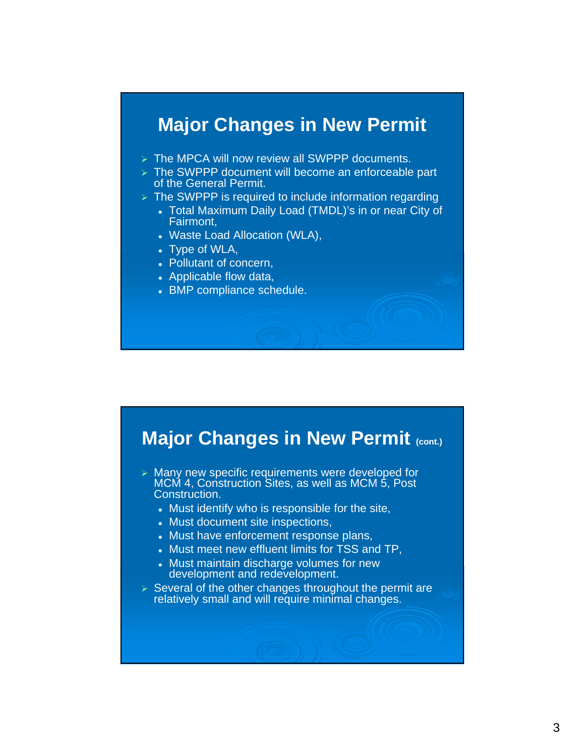#### **Major Changes in New Permit**

- $\triangleright$  The MPCA will now review all SWPPP documents.
- **The SWPPP** document will become an enforceable part of the General Permit.
- $\triangleright$  The SWPPP is required to include information regarding
	- Total Maximum Daily Load (TMDL)'s in or near City of Fairmont,
		- Waste Load Allocation (WLA),
		- Type of WLA,
		- Pollutant of concern,
		- Applicable flow data,
		- BMP compliance schedule.

#### **Major Changes in New Permit (cont.)**

 $\triangleright$  Many new specific requirements were developed for MCM 4, Construction Sites, as well as MCM 5, Post Construction.

- Must identify who is responsible for the site,
- Must document site inspections,
- Must have enforcement response plans,
- Must meet new effluent limits for TSS and TP,
- Must maintain discharge volumes for new development and redevelopment.
- $\triangleright$  Several of the other changes throughout the permit are relatively small and will require minimal changes.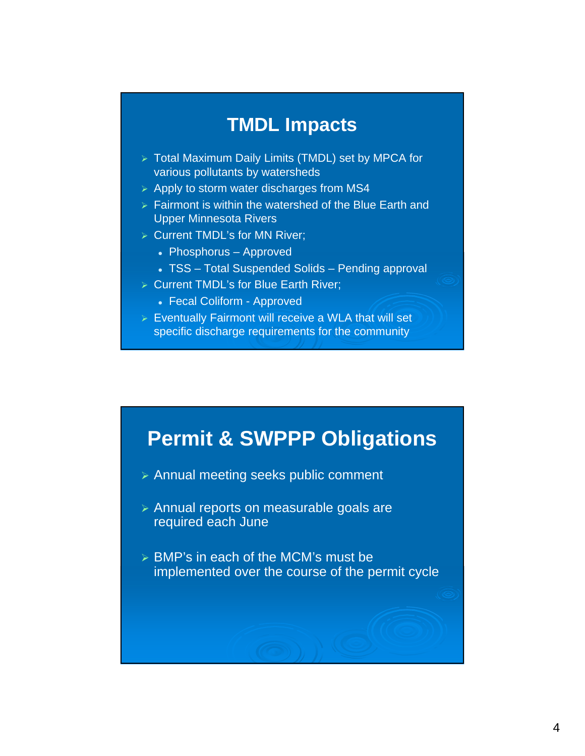#### **TMDL Impacts**

- > Total Maximum Daily Limits (TMDL) set by MPCA for various pollutants by watersheds
- $\triangleright$  Apply to storm water discharges from MS4
- $\triangleright$  Fairmont is within the watershed of the Blue Earth and Upper Minnesota Rivers
- **▶ Current TMDL's for MN River;** 
	- Phosphorus Approved
	- TSS Total Suspended Solids Pending approval
- **▶ Current TMDL's for Blue Earth River:** 
	- Fecal Coliform Approved
- $\triangleright$  Eventually Fairmont will receive a WLA that will set specific discharge requirements for the community

#### **Permit & SWPPP Obligations**

- Annual meeting seeks public comment
- Annual reports on measurable goals are required each June
- > BMP's in each of the MCM's must be implemented over the course of the permit cycle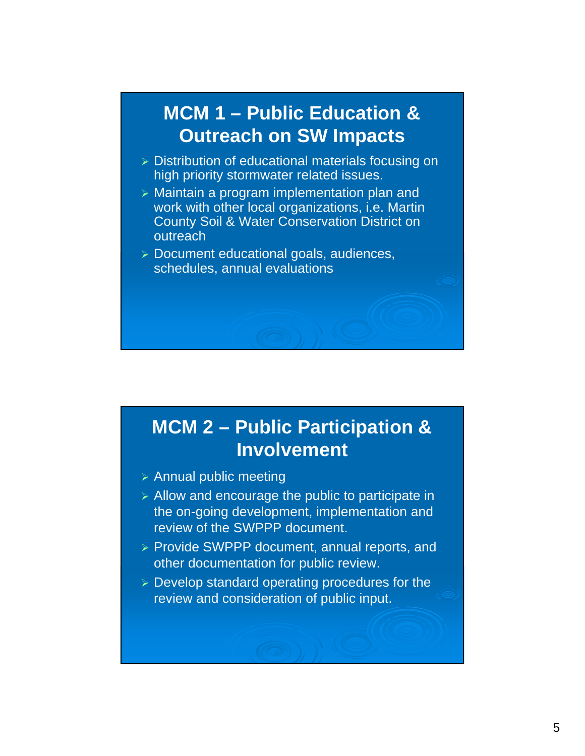## **MCM 1 – Public Education & Outreach on SW Impacts**

- $\triangleright$  Distribution of educational materials focusing on high priority stormwater related issues.
- $\triangleright$  Maintain a program implementation plan and work with other local organizations, i.e. Martin County Soil & Water Conservation District on outreach
- Document educational goals, audiences, schedules, annual evaluations

# **MCM 2 – Public Participation & Involvement**

- $\triangleright$  Annual public meeting
- $\triangleright$  Allow and encourage the public to participate in the on-going development, implementation and review of the SWPPP document.
- $\triangleright$  Provide SWPPP document, annual reports, and other documentation for public review.
- Develop standard operating procedures for the review and consideration of public input.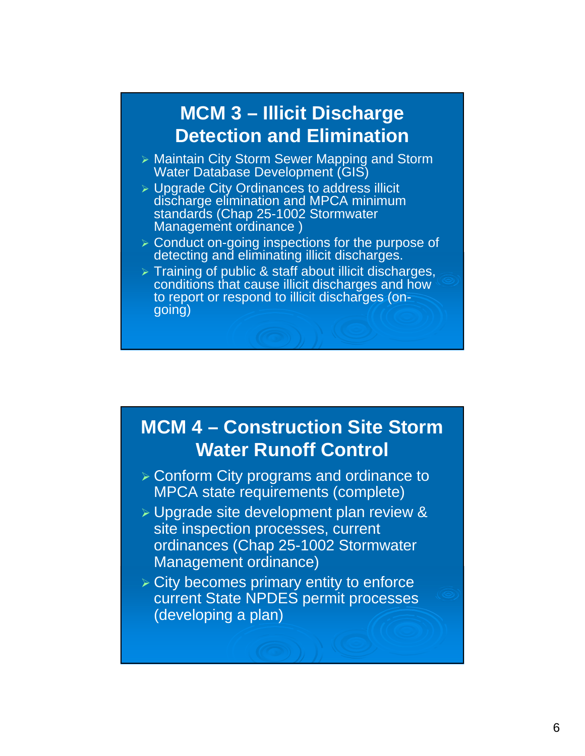## **MCM 3 – Illicit Discharge Detection and Elimination**

- **> Maintain City Storm Sewer Mapping and Storm** Water Database Development (GIS)
- **> Upgrade City Ordinances to address illicit** discharge elimination and MPCA minimum standards (Chap 25-1002 Stormwater Management ordinance )
- **> Conduct on-going inspections for the purpose of** detecting and eliminating illicit discharges.
- $\triangleright$  Training of public & staff about illicit discharges, conditions that cause illicit discharges and how to report or respond to illicit discharges (ongoing)

## **MCM 4 – Construction Site Storm Water Runoff Control**

- Conform City programs and ordinance to MPCA state requirements (complete)
- **> Upgrade site development plan review &** site inspection processes, current ordinances (Chap 25-1002 Stormwater Management ordinance)
- $\triangleright$  City becomes primary entity to enforce current State NPDES permit processes (developing a plan)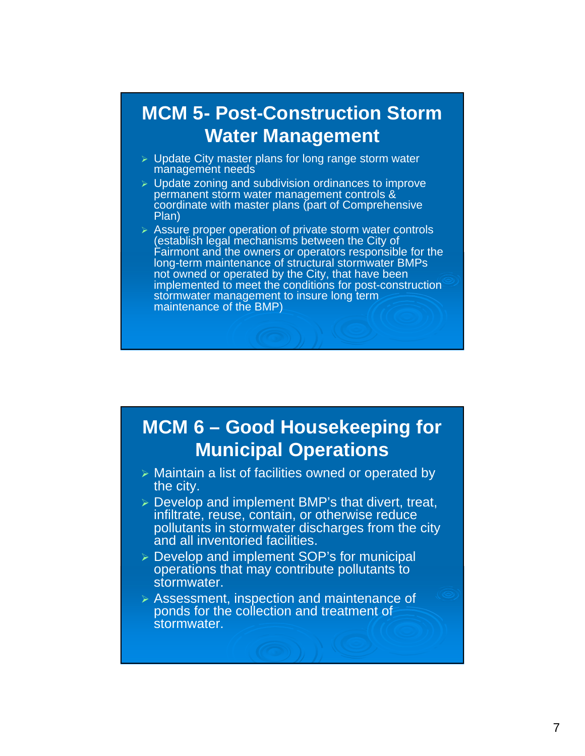### **MCM 5- Post-Construction Storm Water Management**

- $\triangleright$  Update City master plans for long range storm water management needs
- $\triangleright$  Update zoning and subdivision ordinances to improve permanent storm water management controls & coordinate with master plans (part of Comprehensive Plan)
- $\triangleright$  Assure proper operation of private storm water controls (establish legal mechanisms between the City of Fairmont and the owners or operators responsible for the long-term maintenance of structural stormwater BMPs not owned or operated by the City, that have been implemented to meet the conditions for post-construction stormwater management to insure long term maintenance of the BMP)

## **MCM 6 – Good Housekeeping for Municipal Operations**

- > Maintain a list of facilities owned or operated by the city.
- Develop and implement BMP's that divert, treat, infiltrate, reuse, contain, or otherwise reduce pollutants in stormwater discharges from the city and all inventoried facilities.
- Develop and implement SOP's for municipal operations that may contribute pollutants to stormwater.
- Assessment, inspection and maintenance of ponds for the collection and treatment of stormwater.